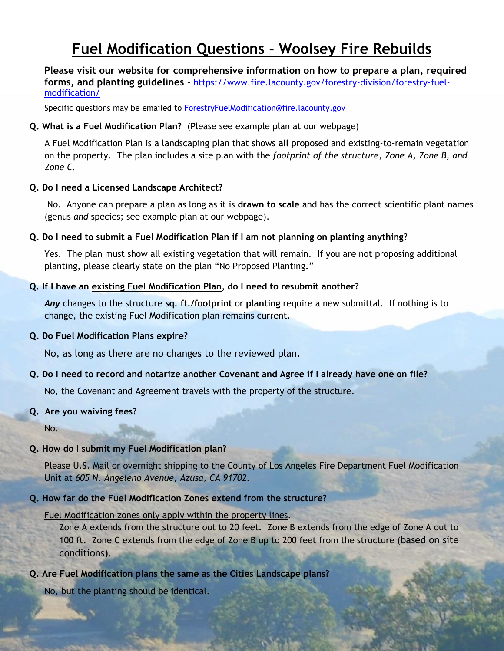# **Fuel Modification Questions - Woolsey Fire Rebuilds**

**Please visit our website for comprehensive information on how to prepare a plan, required forms, and planting guidelines -** [https://www.fire.lacounty.gov/forestry-division/forestry-fuel](https://www.fire.lacounty.gov/forestry-division/forestry-fuel-modification/)[modification/](https://www.fire.lacounty.gov/forestry-division/forestry-fuel-modification/)

Specific questions may be emailed to **ForestryFuelModification@fire.lacounty.gov** 

# **Q. What is a Fuel Modification Plan?** (Please see example plan at our webpage)

A Fuel Modification Plan is a landscaping plan that shows **all** proposed and existing-to-remain vegetation on the property. The plan includes a site plan with the *footprint of the structure*, *Zone A, Zone B, and Zone C.*

# **Q. Do I need a Licensed Landscape Architect?**

No. Anyone can prepare a plan as long as it is **drawn to scale** and has the correct scientific plant names (genus *and* species; see example plan at our webpage).

# **Q. Do I need to submit a Fuel Modification Plan if I am not planning on planting anything?**

Yes. The plan must show all existing vegetation that will remain. If you are not proposing additional planting, please clearly state on the plan "No Proposed Planting."

# **Q. If I have an existing Fuel Modification Plan, do I need to resubmit another?**

*Any* changes to the structure **sq. ft./footprint** or **planting** require a new submittal. If nothing is to change, the existing Fuel Modification plan remains current.

#### **Q. Do Fuel Modification Plans expire?**

No, as long as there are no changes to the reviewed plan.

#### **Q. Do I need to record and notarize another Covenant and Agree if I already have one on file?**

No, the Covenant and Agreement travels with the property of the structure.

#### **Q. Are you waiving fees?**

No.

#### **Q. How do I submit my Fuel Modification plan?**

Please U.S. Mail or overnight shipping to the County of Los Angeles Fire Department Fuel Modification Unit at *605 N. Angeleno Avenue, Azusa, CA 91702.*

#### **Q. How far do the Fuel Modification Zones extend from the structure?**

#### Fuel Modification zones only apply within the property lines.

Zone A extends from the structure out to 20 feet. Zone B extends from the edge of Zone A out to 100 ft. Zone C extends from the edge of Zone B up to 200 feet from the structure (based on site conditions).

# **Q. Are Fuel Modification plans the same as the Cities Landscape plans?**

No, but the planting should be identical.